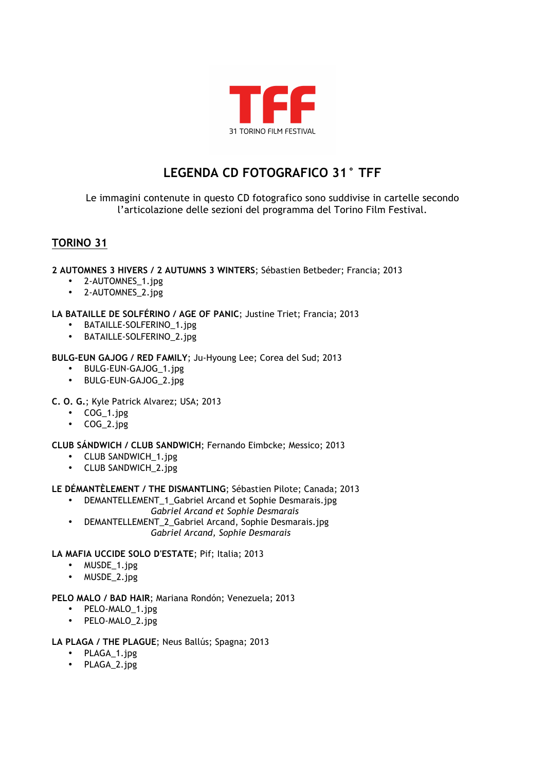

# **LEGENDA CD FOTOGRAFICO 31° TFF**

Le immagini contenute in questo CD fotografico sono suddivise in cartelle secondo l'articolazione delle sezioni del programma del Torino Film Festival.

## **TORINO 31**

## **2 AUTOMNES 3 HIVERS / 2 AUTUMNS 3 WINTERS**; Sébastien Betbeder; Francia; 2013

- 2-AUTOMNES\_1.jpg
- 2-AUTOMNES\_2.jpg

## **LA BATAILLE DE SOLFÉRINO / AGE OF PANIC**; Justine Triet; Francia; 2013

- BATAILLE-SOLFERINO\_1.jpg<br>• RATAILLE-SOLFERINO 2.jpg
- BATAILLE-SOLFERINO 2.jpg

## **BULG-EUN GAJOG / RED FAMILY**; Ju-Hyoung Lee; Corea del Sud; 2013

- BULG-EUN-GAJOG 1.jpg
- BULG-EUN-GAJOG\_2.jpg
- **C. O. G.**; Kyle Patrick Alvarez; USA; 2013
	- COG\_1.jpg
		- COG\_2.jpg

## **CLUB SÁNDWICH / CLUB SANDWICH**; Fernando Eimbcke; Messico; 2013

- CLUB SANDWICH\_1.jpg
- CLUB SANDWICH\_2.jpg

## **LE DÉMANTÈLEMENT / THE DISMANTLING**; Sébastien Pilote; Canada; 2013

- DEMANTELLEMENT\_1\_Gabriel Arcand et Sophie Desmarais.jpg *Gabriel Arcand et Sophie Desmarais*
- DEMANTELLEMENT 2 Gabriel Arcand, Sophie Desmarais.jpg *Gabriel Arcand, Sophie Desmarais*

## **LA MAFIA UCCIDE SOLO D'ESTATE**; Pif; Italia; 2013

- MUSDE\_1.jpg
- MUSDE 2.jpg

## **PELO MALO / BAD HAIR**; Mariana Rondón; Venezuela; 2013

- PELO-MALO 1.jpg
- PELO-MALO\_2.jpg

## **LA PLAGA / THE PLAGUE**; Neus Ballús; Spagna; 2013

- PLAGA\_1.jpg
- PLAGA\_2.jpg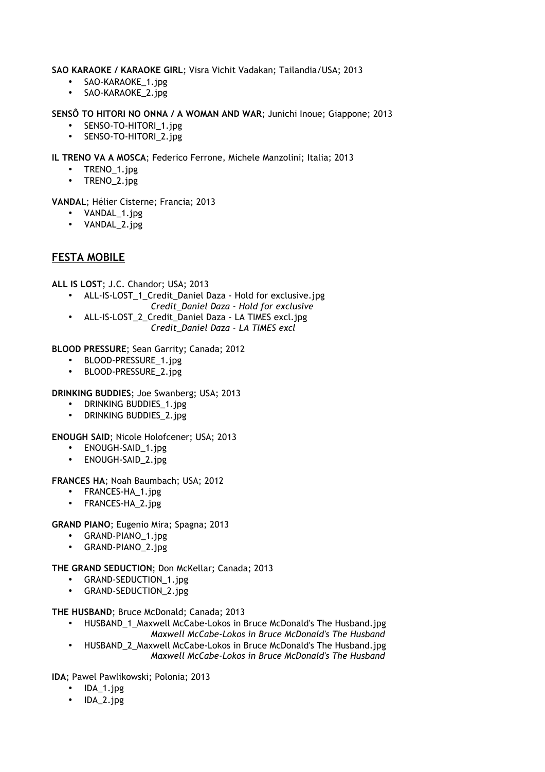**SAO KARAOKE / KARAOKE GIRL**; Visra Vichit Vadakan; Tailandia/USA; 2013

- SAO-KARAOKE\_1.jpg
- SAO-KARAOKE\_2.jpg

**SENSÔ TO HITORI NO ONNA / A WOMAN AND WAR**; Junichi Inoue; Giappone; 2013

- SENSO-TO-HITORI\_1.jpg
- SENSO-TO-HITORI\_2.jpg

**IL TRENO VA A MOSCA**; Federico Ferrone, Michele Manzolini; Italia; 2013

- TRENO\_1.jpg
- TRENO\_2.jpg

**VANDAL**; Hélier Cisterne; Francia; 2013

- VANDAL\_1.jpg
- VANDAL\_2.jpg

## **FESTA MOBILE**

**ALL IS LOST**; J.C. Chandor; USA; 2013

- ALL-IS-LOST\_1\_Credit\_Daniel Daza Hold for exclusive.jpg *Credit\_Daniel Daza - Hold for exclusive*
- ALL-IS-LOST\_2\_Credit\_Daniel Daza LA TIMES excl.jpg *Credit\_Daniel Daza - LA TIMES excl*

**BLOOD PRESSURE**; Sean Garrity; Canada; 2012

- BLOOD-PRESSURE\_1.jpg
- BLOOD-PRESSURE\_2.jpg

**DRINKING BUDDIES**; Joe Swanberg; USA; 2013

- DRINKING BUDDIES 1.jpg
- DRINKING BUDDIES\_2.jpg

**ENOUGH SAID**; Nicole Holofcener; USA; 2013

- ENOUGH-SAID\_1.jpg
- ENOUGH-SAID\_2.jpg

**FRANCES HA**; Noah Baumbach; USA; 2012

- FRANCES-HA\_1.jpg
- FRANCES-HA\_2.jpg

**GRAND PIANO**; Eugenio Mira; Spagna; 2013

- GRAND-PIANO\_1.jpg
- GRAND-PIANO\_2.jpg

**THE GRAND SEDUCTION**; Don McKellar; Canada; 2013

- GRAND-SEDUCTION 1.jpg
- GRAND-SEDUCTION\_2.jpg

**THE HUSBAND**; Bruce McDonald; Canada; 2013

- HUSBAND\_1\_Maxwell McCabe-Lokos in Bruce McDonald's The Husband.jpg
- *Maxwell McCabe-Lokos in Bruce McDonald's The Husband* • HUSBAND 2 Maxwell McCabe-Lokos in Bruce McDonald's The Husband.jpg *Maxwell McCabe-Lokos in Bruce McDonald's The Husband*

**IDA**; Pawel Pawlikowski; Polonia; 2013

- IDA 1.jpg
- IDA\_2.jpg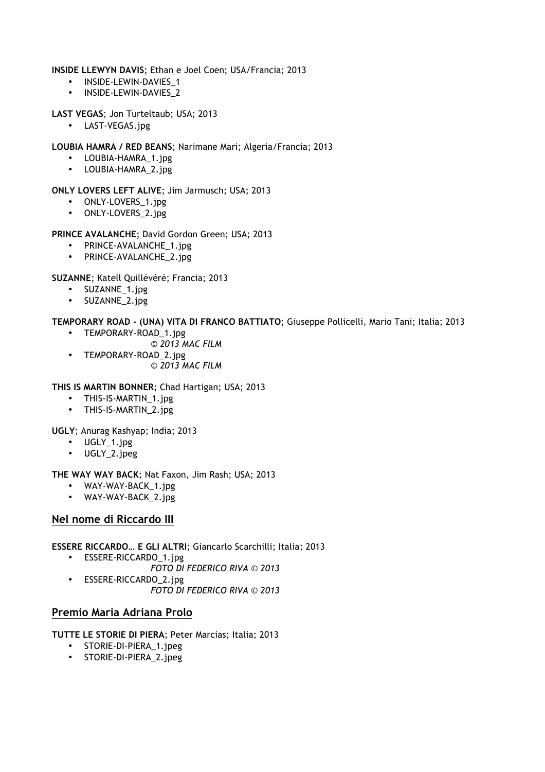**INSIDE LLEWYN DAVIS**; Ethan e Joel Coen; USA/Francia; 2013

- INSIDE-LEWIN-DAVIES\_1
- INSIDE-LEWIN-DAVIES 2
- **LAST VEGAS**; Jon Turteltaub; USA; 2013
	- LAST-VEGAS.jpg
- **LOUBIA HAMRA / RED BEANS**; Narimane Mari; Algeria/Francia; 2013
	- LOUBIA-HAMRA\_1.jpg
	- LOUBIA-HAMRA\_2.jpg
- **ONLY LOVERS LEFT ALIVE**; Jim Jarmusch; USA; 2013
	- ONLY-LOVERS\_1.jpg
	- ONLY-LOVERS\_2.jpg

## **PRINCE AVALANCHE**; David Gordon Green; USA; 2013

- PRINCE-AVALANCHE\_1.jpg
- PRINCE-AVALANCHE\_2.jpg

**SUZANNE**; Katell Quillévéré; Francia; 2013

- SUZANNE\_1.jpg
- SUZANNE\_2.jpg

## **TEMPORARY ROAD - (UNA) VITA DI FRANCO BATTIATO**; Giuseppe Pollicelli, Mario Tani; Italia; 2013

- TEMPORARY-ROAD\_1.jpg
	- *© 2013 MAC FILM*
- TEMPORARY-ROAD\_2.jpg *© 2013 MAC FILM*

## **THIS IS MARTIN BONNER**; Chad Hartigan; USA; 2013

- THIS-IS-MARTIN 1.jpg
- THIS-IS-MARTIN\_2.jpg

**UGLY**; Anurag Kashyap; India; 2013

- UGLY\_1.jpg
- UGLY\_2.jpeg

## **THE WAY WAY BACK**; Nat Faxon, Jim Rash; USA; 2013

- WAY-WAY-BACK\_1.jpg
- WAY-WAY-BACK 2.jpg

## **Nel nome di Riccardo III**

- **ESSERE RICCARDO… E GLI ALTRI**; Giancarlo Scarchilli; Italia; 2013
	- ESSERE-RICCARDO\_1.jpg
		- *FOTO DI FEDERICO RIVA © 2013*
	- ESSERE-RICCARDO\_2.jpg *FOTO DI FEDERICO RIVA © 2013*

## **Premio Maria Adriana Prolo**

**TUTTE LE STORIE DI PIERA**; Peter Marcias; Italia; 2013

- STORIE-DI-PIERA\_1.jpeg
- STORIE-DI-PIERA\_2.jpeg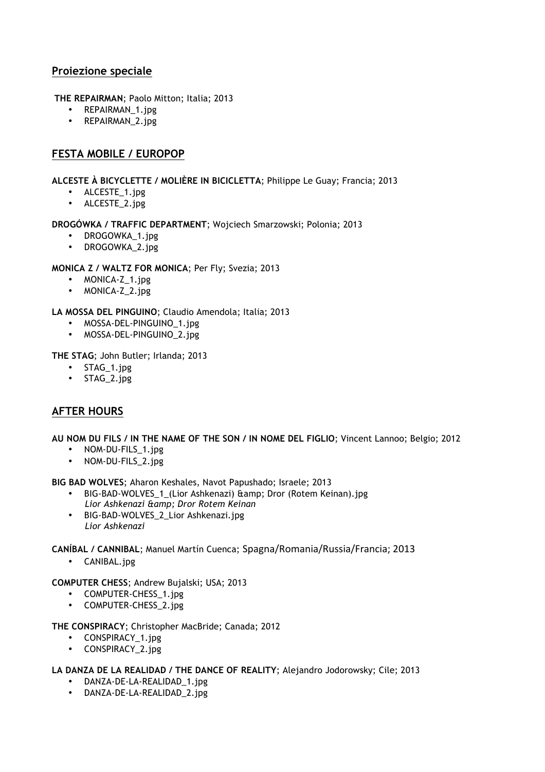## **Proiezione speciale**

- **THE REPAIRMAN**; Paolo Mitton; Italia; 2013
	- REPAIRMAN\_1.jpg
	- REPAIRMAN\_2.jpg

## **FESTA MOBILE / EUROPOP**

**ALCESTE À BICYCLETTE / MOLIÈRE IN BICICLETTA**; Philippe Le Guay; Francia; 2013

- ALCESTE\_1.jpg
- ALCESTE\_2.jpg

## **DROGÓWKA / TRAFFIC DEPARTMENT**; Wojciech Smarzowski; Polonia; 2013

- DROGOWKA\_1.jpg
- DROGOWKA\_2.jpg

## **MONICA Z / WALTZ FOR MONICA**; Per Fly; Svezia; 2013

- MONICA-Z\_1.jpg
- MONICA-Z\_2.jpg

## **LA MOSSA DEL PINGUINO**; Claudio Amendola; Italia; 2013

- MOSSA-DEL-PINGUINO\_1.jpg
- MOSSA-DEL-PINGUINO\_2.jpg

**THE STAG**; John Butler; Irlanda; 2013

- STAG 1.jpg
- STAG\_2.jpg

## **AFTER HOURS**

**AU NOM DU FILS / IN THE NAME OF THE SON / IN NOME DEL FIGLIO**; Vincent Lannoo; Belgio; 2012

- NOM-DU-FILS 1.jpg
- NOM-DU-FILS\_2.jpg

**BIG BAD WOLVES**; Aharon Keshales, Navot Papushado; Israele; 2013

- BIG-BAD-WOLVES 1 (Lior Ashkenazi) & amp; Dror (Rotem Keinan).jpg *Lior Ashkenazi & Dror Rotem Keinan*
- BIG-BAD-WOLVES\_2\_Lior Ashkenazi.jpg *Lior Ashkenazi*

**CANÍBAL / CANNIBAL**; Manuel Martín Cuenca; Spagna/Romania/Russia/Francia;12013

• CANIBAL.jpg

## **COMPUTER CHESS**; Andrew Bujalski; USA; 2013

- COMPUTER-CHESS\_1.jpg
- COMPUTER-CHESS\_2.jpg

**THE CONSPIRACY**; Christopher MacBride; Canada; 2012

- CONSPIRACY 1.jpg
- CONSPIRACY 2.jpg

## **LA DANZA DE LA REALIDAD / THE DANCE OF REALITY**; Alejandro Jodorowsky; Cile; 2013

- DANZA-DE-LA-REALIDAD\_1.jpg
- DANZA-DE-LA-REALIDAD\_2.jpg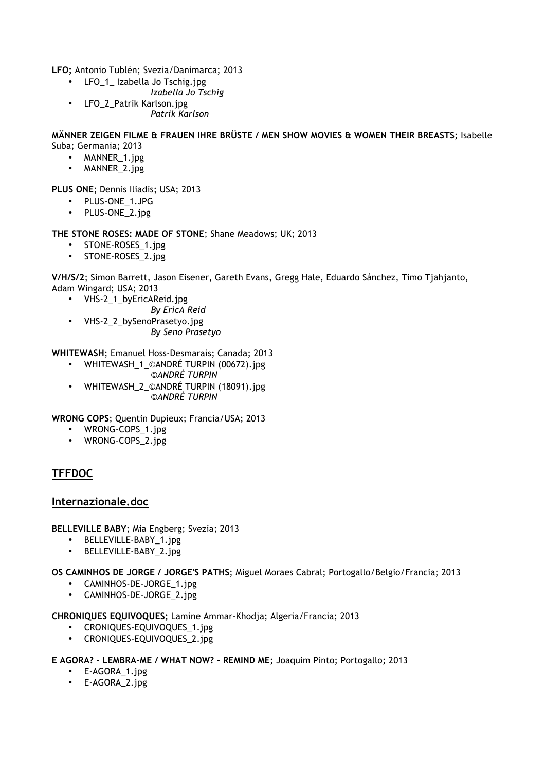**LFO;** Antonio Tublén; Svezia/Danimarca; 2013

- LFO\_1\_ Izabella Jo Tschig.jpg
	- *Izabella Jo Tschig*
- LFO\_2\_Patrik Karlson.jpg *Patrik Karlson*

#### **MÄNNER ZEIGEN FILME & FRAUEN IHRE BRÜSTE / MEN SHOW MOVIES & WOMEN THEIR BREASTS**; Isabelle Suba; Germania; 2013

- MANNER\_1.jpg
- MANNER 2.jpg

**PLUS ONE**; Dennis Iliadis; USA; 2013

- PLUS-ONE\_1.JPG
- PLUS-ONE\_2.jpg

## **THE STONE ROSES: MADE OF STONE**; Shane Meadows; UK; 2013

- STONE-ROSES\_1.jpg
- STONE-ROSES\_2.jpg

**V/H/S/2**; Simon Barrett, Jason Eisener, Gareth Evans, Gregg Hale, Eduardo Sánchez, Timo Tjahjanto, Adam Wingard; USA; 2013

• VHS-2\_1\_byEricAReid.jpg

*By EricA Reid*

• VHS-2 2 bySenoPrasetyo.jpg *By Seno Prasetyo*

**WHITEWASH**; Emanuel Hoss-Desmarais; Canada; 2013

- WHITEWASH\_1\_©ANDRÉ TURPIN (00672).jpg
	- *©ANDRÉ TURPIN*
- WHITEWASH\_2\_©ANDRÉ TURPIN (18091).jpg *©ANDRÉ TURPIN*

**WRONG COPS**; Quentin Dupieux; Francia/USA; 2013

- WRONG-COPS\_1.jpg
- WRONG-COPS\_2.jpg

## **TFFDOC**

## **Internazionale.doc**

**BELLEVILLE BABY**; Mia Engberg; Svezia; 2013

- BELLEVILLE-BABY 1.jpg
- BELLEVILLE-BABY\_2.jpg

**OS CAMINHOS DE JORGE / JORGE'S PATHS**; Miguel Moraes Cabral; Portogallo/Belgio/Francia; 2013

- CAMINHOS-DE-JORGE\_1.jpg
- CAMINHOS-DE-JORGE\_2.jpg

**CHRONIQUES EQUIVOQUES;** Lamine Ammar-Khodja; Algeria/Francia; 2013

- CRONIOUES-EOUIVOOUES 1.jpg
- CRONIQUES-EQUIVOQUES\_2.jpg

**E AGORA? - LEMBRA-ME / WHAT NOW? - REMIND ME**; Joaquim Pinto; Portogallo; 2013

- E-AGORA 1.jpg
- E-AGORA\_2.jpg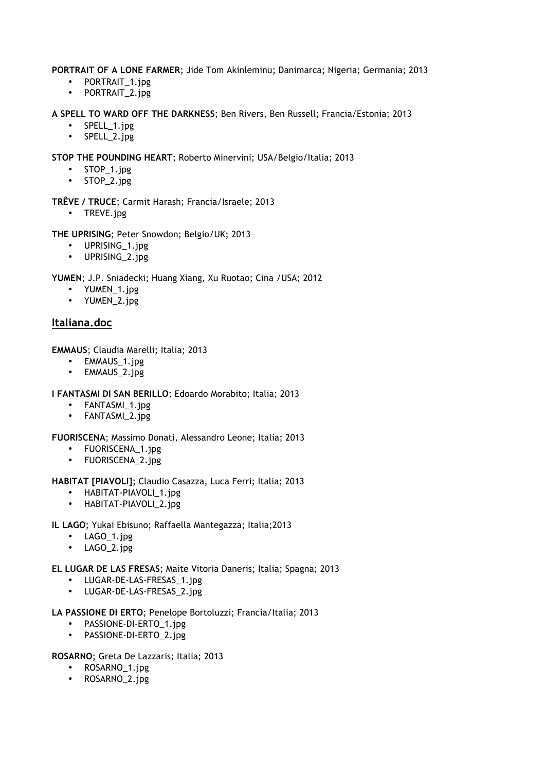#### **PORTRAIT OF A LONE FARMER**; Jide Tom Akinleminu; Danimarca; Nigeria; Germania; 2013

- PORTRAIT\_1.jpg
- PORTRAIT\_2.jpg

**A SPELL TO WARD OFF THE DARKNESS**; Ben Rivers, Ben Russell; Francia/Estonia; 2013

- SPELL\_1.jpg
- SPELL\_2.jpg

**STOP THE POUNDING HEART**; Roberto Minervini; USA/Belgio/Italia; 2013

- STOP\_1.jpg
- STOP\_2.jpg

**TRÊVE / TRUCE**; Carmit Harash; Francia/Israele; 2013

• TREVE.jpg

**THE UPRISING**; Peter Snowdon; Belgio/UK; 2013

- UPRISING\_1.jpg
- UPRISING 2.jpg

**YUMEN**; J.P. Sniadecki; Huang Xiang, Xu Ruotao; Cina /USA; 2012

- YUMEN\_1.jpg
- YUMEN\_2.jpg

## **Italiana.doc**

**EMMAUS**; Claudia Marelli; Italia; 2013

- EMMAUS\_1.jpg
- EMMAUS\_2.jpg

**I FANTASMI DI SAN BERILLO**; Edoardo Morabito; Italia; 2013

- FANTASMI\_1.jpg
- FANTASMI\_2.jpg

**FUORISCENA**; Massimo Donati, Alessandro Leone; Italia; 2013

- FUORISCENA\_1.jpg
- FUORISCENA 2.jpg

**HABITAT [PIAVOLI]**; Claudio Casazza, Luca Ferri; Italia; 2013

- HABITAT-PIAVOLI\_1.jpg
- HABITAT-PIAVOLI\_2.jpg
- **IL LAGO**; Yukai Ebisuno; Raffaella Mantegazza; Italia;2013
	- LAGO\_1.jpg
	- LAGO\_2.jpg

**EL LUGAR DE LAS FRESAS**; Maite Vitoria Daneris; Italia; Spagna; 2013

- LUGAR-DE-LAS-FRESAS\_1.jpg
- LUGAR-DE-LAS-FRESAS\_2.jpg
- **LA PASSIONE DI ERTO**; Penelope Bortoluzzi; Francia/Italia; 2013
	- PASSIONE-DI-ERTO\_1.jpg
	- PASSIONE-DI-ERTO\_2.jpg

**ROSARNO**; Greta De Lazzaris; Italia; 2013

- ROSARNO 1.jpg
- ROSARNO\_2.jpg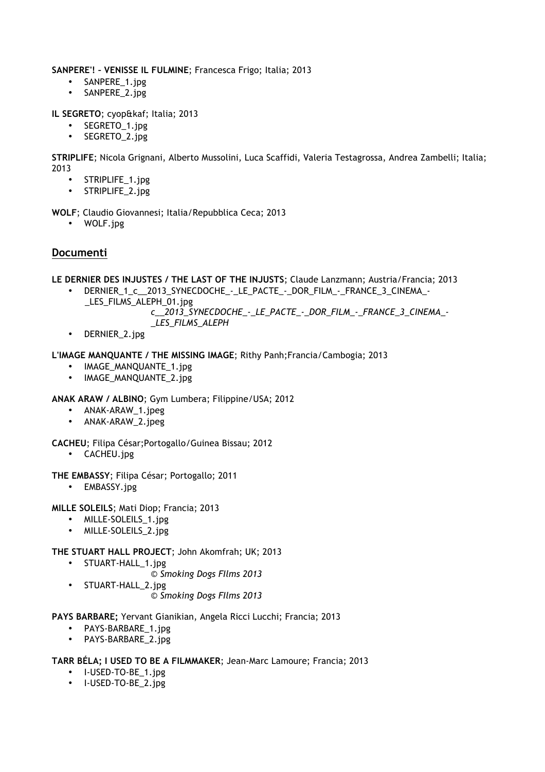**SANPERE'! – VENISSE IL FULMINE**; Francesca Frigo; Italia; 2013

- SANPERE\_1.jpg
- SANPERE\_2.jpg

**IL SEGRETO**; cyop&kaf; Italia; 2013

- SEGRETO\_1.jpg
- SEGRETO\_2.jpg

**STRIPLIFE**; Nicola Grignani, Alberto Mussolini, Luca Scaffidi, Valeria Testagrossa, Andrea Zambelli; Italia; 2013

- STRIPLIFE\_1.jpg
- STRIPLIFE\_2.jpg
- **WOLF**; Claudio Giovannesi; Italia/Repubblica Ceca; 2013
	- WOLF.jpg

## **Documenti**

**LE DERNIER DES INJUSTES / THE LAST OF THE INJUSTS**; Claude Lanzmann; Austria/Francia; 2013

DERNIER\_1\_c\_\_2013\_SYNECDOCHE\_-\_LE\_PACTE\_-\_DOR\_FILM\_-\_FRANCE\_3\_CINEMA\_-LES\_FILMS\_ALEPH\_01.jpg

#### *c\_\_2013\_SYNECDOCHE\_-\_LE\_PACTE\_-\_DOR\_FILM\_-\_FRANCE\_3\_CINEMA\_- \_LES\_FILMS\_ALEPH*

• DERNIER\_2.jpg

#### **L'IMAGE MANQUANTE / THE MISSING IMAGE**; Rithy Panh;Francia/Cambogia; 2013

- IMAGE\_MANQUANTE\_1.jpg<br>• IMAGE\_MANOUANTE\_2\_ipg
- IMAGE\_MANQUANTE\_2.jpg

**ANAK ARAW / ALBINO**; Gym Lumbera; Filippine/USA; 2012

- ANAK-ARAW\_1.jpeg
- ANAK-ARAW\_2.jpeg

**CACHEU**; Filipa César;Portogallo/Guinea Bissau; 2012

- CACHEU.jpg
- **THE EMBASSY**; Filipa César; Portogallo; 2011
	- EMBASSY.jpg

**MILLE SOLEILS**; Mati Diop; Francia; 2013

- MILLE-SOLEILS\_1.jpg
- MILLE-SOLEILS\_2.jpg

## **THE STUART HALL PROJECT**; John Akomfrah; UK; 2013

- STUART-HALL\_1.jpg
	- *© Smoking Dogs FIlms 2013*
- STUART-HALL\_2.jpg *© Smoking Dogs FIlms 2013*

## **PAYS BARBARE;** Yervant Gianikian, Angela Ricci Lucchi; Francia; 2013

- PAYS-BARBARE\_1.jpg
- PAYS-BARBARE\_2.jpg

## **TARR BÉLA; I USED TO BE A FILMMAKER**; Jean-Marc Lamoure; Francia; 2013

- I-USED-TO-BE\_1.jpg
- I-USED-TO-BE\_2.jpg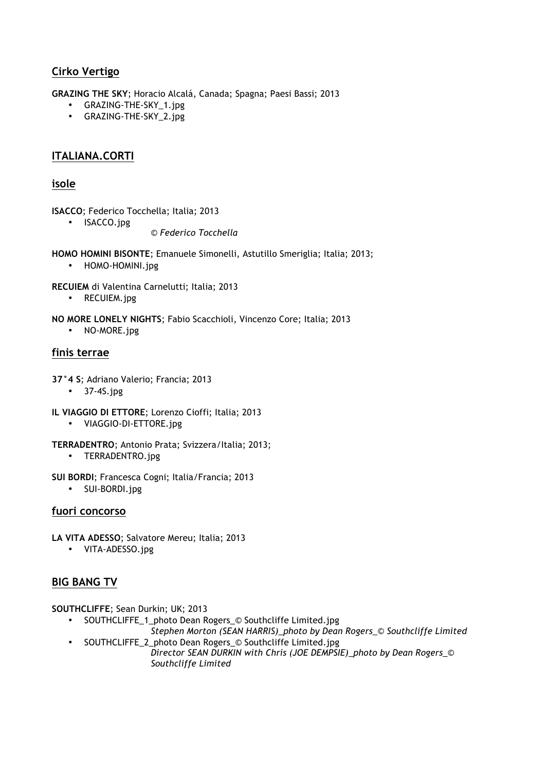## **Cirko Vertigo**

**GRAZING THE SKY**; Horacio Alcalá, Canada; Spagna; Paesi Bassi; 2013

- GRAZING-THE-SKY\_1.jpg
- GRAZING-THE-SKY\_2.jpg

## **ITALIANA.CORTI**

## **isole**

**ISACCO**; Federico Tocchella; Italia; 2013

• ISACCO.jpg

*© Federico Tocchella*

**HOMO HOMINI BISONTE**; Emanuele Simonelli, Astutillo Smeriglia; Italia; 2013;

• HOMO-HOMINI.jpg

**RECUIEM** di Valentina Carnelutti; Italia; 2013

- RECUIEM.jpg
- **NO MORE LONELY NIGHTS**; Fabio Scacchioli, Vincenzo Core; Italia; 2013
	- NO-MORE.jpg

## **finis terrae**

- **37°4 S**; Adriano Valerio; Francia; 2013
	- 37-4S.jpg
- **IL VIAGGIO DI ETTORE**; Lorenzo Cioffi; Italia; 2013
	- VIAGGIO-DI-ETTORE.jpg
- **TERRADENTRO**; Antonio Prata; Svizzera/Italia; 2013;
	- TERRADENTRO.jpg
- **SUI BORDI**; Francesca Cogni; Italia/Francia; 2013
	- SUI-BORDI.jpg

## **fuori concorso**

- **LA VITA ADESSO**; Salvatore Mereu; Italia; 2013
	- VITA-ADESSO.jpg

## **BIG BANG TV**

**SOUTHCLIFFE**; Sean Durkin; UK; 2013

- SOUTHCLIFFE\_1\_photo Dean Rogers\_© Southcliffe Limited.jpg
- *Stephen Morton (SEAN HARRIS)\_photo by Dean Rogers\_*© *Southcliffe Limited* • SOUTHCLIFFE\_2\_photo Dean Rogers\_© Southcliffe Limited.jpg

*Director SEAN DURKIN with Chris (JOE DEMPSIE)\_photo by Dean Rogers\_*© *Southcliffe Limited*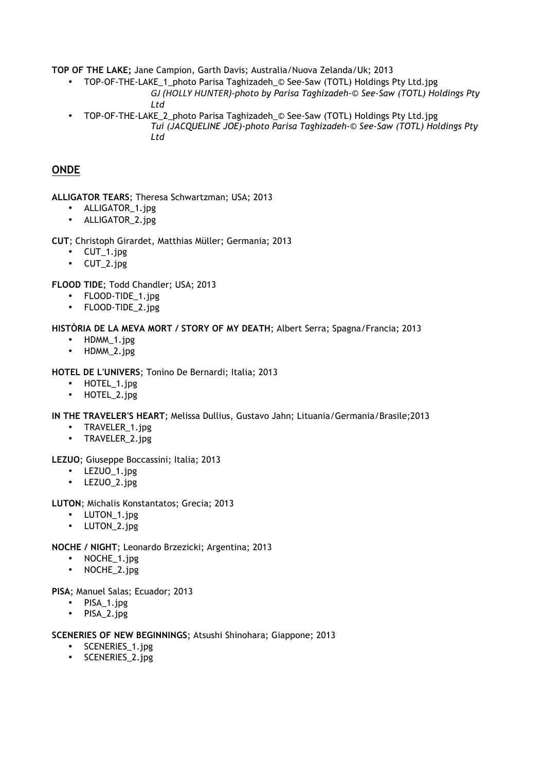**TOP OF THE LAKE;** Jane Campion, Garth Davis; Australia/Nuova Zelanda/Uk; 2013

- TOP-OF-THE-LAKE\_1\_photo Parisa Taghizadeh\_© See-Saw (TOTL) Holdings Pty Ltd.jpg
	- *GJ#(HOLLY#HUNTER)/photo by Parisa Taghizadeh-© See-Saw (TOTL) Holdings Pty Ltd*
- TOP-OF-THE-LAKE\_2\_photo Parisa Taghizadeh\_© See-Saw (TOTL) Holdings Pty Ltd.jpg *Tui (JACQUELINE JOE)-photo Parisa Taghizadeh-© See-Saw (TOTL) Holdings Pty Ltd*

## **ONDE**

**ALLIGATOR TEARS**; Theresa Schwartzman; USA; 2013

- ALLIGATOR\_1.jpg
- ALLIGATOR\_2.jpg

## **CUT**; Christoph Girardet, Matthias Müller; Germania; 2013

- CUT\_1.jpg
- CUT\_2.jpg

**FLOOD TIDE**; Todd Chandler; USA; 2013

- FLOOD-TIDE\_1.jpg
- FLOOD-TIDE\_2.jpg

## **HISTÒRIA DE LA MEVA MORT / STORY OF MY DEATH**; Albert Serra; Spagna/Francia; 2013

- HDMM 1.jpg
- HDMM\_2.jpg

## **HOTEL DE L'UNIVERS**; Tonino De Bernardi; Italia; 2013

- HOTEL\_1.jpg
- HOTEL\_2.jpg

## **IN THE TRAVELER'S HEART**; Melissa Dullius, Gustavo Jahn; Lituania/Germania/Brasile;2013

- TRAVELER 1.jpg
- TRAVELER\_2.jpg

## **LEZUO**; Giuseppe Boccassini; Italia; 2013

- LEZUO 1.jpg
- LEZUO\_2.jpg

## **LUTON**; Michalis Konstantatos; Grecia; 2013

- LUTON\_1.jpg
- LUTON\_2.jpg

## **NOCHE / NIGHT**; Leonardo Brzezicki; Argentina; 2013

- NOCHE\_1.jpg
- NOCHE\_2.jpg

## **PISA**; Manuel Salas; Ecuador; 2013

- PISA\_1.jpg
- PISA\_2.jpg

## **SCENERIES OF NEW BEGINNINGS**; Atsushi Shinohara; Giappone; 2013

- SCENERIES\_1.jpg
- SCENERIES\_2.jpg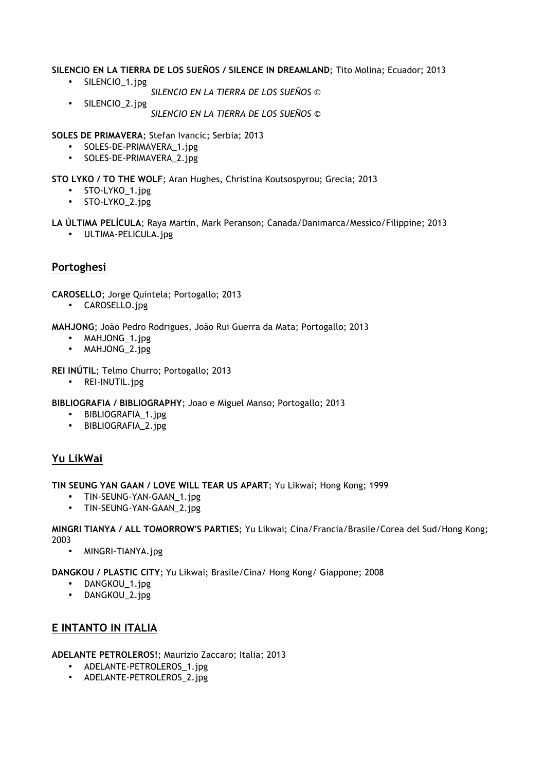**SILENCIO EN LA TIERRA DE LOS SUEÑOS / SILENCE IN DREAMLAND**; Tito Molina; Ecuador; 2013

- SILENCIO\_1.jpg
	- *SILENCIO EN LA TIERRA DE LOS SUEÑOS ©*
- SILENCIO\_2.jpg *SILENCIO EN LA TIERRA DE LOS SUEÑOS ©*

**SOLES DE PRIMAVERA**; Stefan Ivancic; Serbia; 2013

- SOLES-DE-PRIMAVERA\_1.jpg
- SOLES-DE-PRIMAVERA\_2.jpg

**STO LYKO / TO THE WOLF**; Aran Hughes, Christina Koutsospyrou; Grecia; 2013

- STO-LYKO\_1.jpg
- STO-LYKO\_2.jpg

**LA ÚLTIMA PELÍCULA**; Raya Martin, Mark Peranson; Canada/Danimarca/Messico/Filippine; 2013

• ULTIMA-PELICULA.jpg

## **Portoghesi**

**CAROSELLO**; Jorge Quintela; Portogallo; 2013

• CAROSELLO.jpg

**MAHJONG**; João Pedro Rodrigues, João Rui Guerra da Mata; Portogallo; 2013

- MAHJONG\_1.jpg
- MAHJONG\_2.jpg
- **REI INÚTIL**; Telmo Churro; Portogallo; 2013
	- REI-INUTIL.jpg

**BIBLIOGRAFIA / BIBLIOGRAPHY**; Joao e Miguel Manso; Portogallo; 2013

- BIBLIOGRAFIA\_1.jpg
- BIBLIOGRAFIA\_2.jpg

## **Yu LikWai**

**TIN SEUNG YAN GAAN / LOVE WILL TEAR US APART**; Yu Likwai; Hong Kong; 1999

- TIN-SEUNG-YAN-GAAN\_1.jpg
- TIN-SEUNG-YAN-GAAN\_2.jpg

**MINGRI TIANYA / ALL TOMORROW'S PARTIES**; Yu Likwai; Cina/Francia/Brasile/Corea del Sud/Hong Kong; 2003

• MINGRI-TIANYA.jpg

**DANGKOU / PLASTIC CITY**; Yu Likwai; Brasile/Cina/ Hong Kong/ Giappone; 2008

- DANGKOU\_1.jpg
- DANGKOU\_2.jpg

## **E INTANTO IN ITALIA**

**ADELANTE PETROLEROS!**; Maurizio Zaccaro; Italia; 2013

- ADELANTE-PETROLEROS 1.jpg
- ADELANTE-PETROLEROS\_2.jpg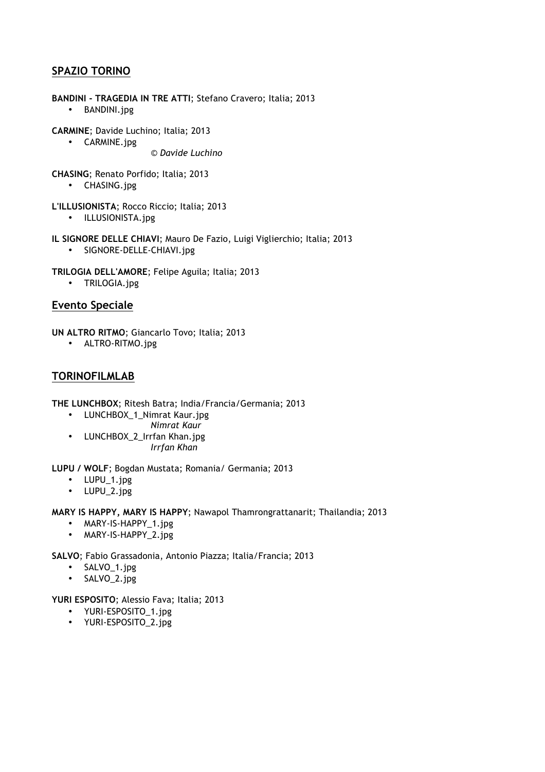## **SPAZIO TORINO**

**BANDINI - TRAGEDIA IN TRE ATTI**; Stefano Cravero; Italia; 2013 • BANDINI.jpg

**CARMINE**; Davide Luchino; Italia; 2013

• CARMINE.jpg

© *Davide Luchino*

**CHASING**; Renato Porfido; Italia; 2013

• CHASING.jpg

**L'ILLUSIONISTA**; Rocco Riccio; Italia; 2013

- ILLUSIONISTA.jpg
- **IL SIGNORE DELLE CHIAVI**; Mauro De Fazio, Luigi Viglierchio; Italia; 2013
	- SIGNORE-DELLE-CHIAVI.jpg
- **TRILOGIA DELL'AMORE**; Felipe Aguila; Italia; 2013
	- TRILOGIA.jpg

## **Evento Speciale**

**UN ALTRO RITMO**; Giancarlo Tovo; Italia; 2013

• ALTRO-RITMO.jpg

## **TORINOFILMLAB**

**THE LUNCHBOX**; Ritesh Batra; India/Francia/Germania; 2013

- LUNCHBOX\_1\_Nimrat Kaur.jpg
	- *Nimrat Kaur*
- LUNCHBOX 2 Irrfan Khan.jpg *Irrfan Khan*

**LUPU / WOLF**; Bogdan Mustata; Romania/ Germania; 2013

- LUPU\_1.jpg
- LUPU\_2.jpg

**MARY IS HAPPY, MARY IS HAPPY**; Nawapol Thamrongrattanarit; Thailandia; 2013

- MARY-IS-HAPPY\_1.jpg
- MARY-IS-HAPPY\_2.jpg

**SALVO**; Fabio Grassadonia, Antonio Piazza; Italia/Francia; 2013

- SALVO\_1.jpg
- SALVO\_2.jpg

**YURI ESPOSITO**; Alessio Fava; Italia; 2013

- YURI-ESPOSITO\_1.jpg
- YURI-ESPOSITO\_2.jpg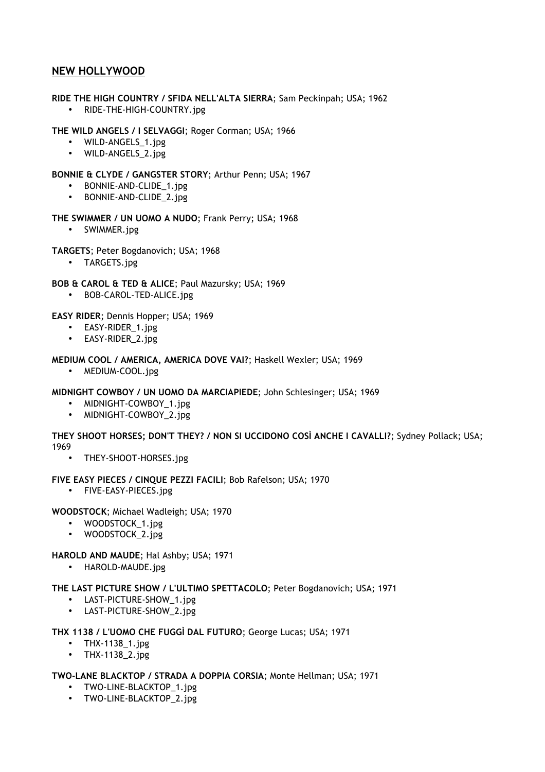## **NEW HOLLYWOOD**

## **RIDE THE HIGH COUNTRY / SFIDA NELL'ALTA SIERRA**; Sam Peckinpah; USA; 1962

• RIDE-THE-HIGH-COUNTRY.jpg

## **THE WILD ANGELS / I SELVAGGI**; Roger Corman; USA; 1966

- WILD-ANGELS\_1.jpg
- WILD-ANGELS\_2.jpg

## **BONNIE & CLYDE / GANGSTER STORY**; Arthur Penn; USA; 1967

- BONNIE-AND-CLIDE\_1.jpg
- BONNIE-AND-CLIDE\_2.jpg

## **THE SWIMMER / UN UOMO A NUDO**; Frank Perry; USA; 1968

• SWIMMER.jpg

## **TARGETS**; Peter Bogdanovich; USA; 1968

• TARGETS.jpg

## **BOB & CAROL & TED & ALICE**; Paul Mazursky; USA; 1969

• BOB-CAROL-TED-ALICE.jpg

## **EASY RIDER**; Dennis Hopper; USA; 1969

- EASY-RIDER 1.jpg
- EASY-RIDER 2.jpg

## **MEDIUM COOL / AMERICA, AMERICA DOVE VAI?**; Haskell Wexler; USA; 1969

• MEDIUM-COOL.jpg

## **MIDNIGHT COWBOY / UN UOMO DA MARCIAPIEDE**; John Schlesinger; USA; 1969

- MIDNIGHT-COWBOY\_1.jpg
- MIDNIGHT-COWBOY\_2.jpg

**THEY SHOOT HORSES; DON'T THEY? / NON SI UCCIDONO COSÌ ANCHE I CAVALLI?**; Sydney Pollack; USA; 1969

• THEY-SHOOT-HORSES.jpg

## **FIVE EASY PIECES / CINQUE PEZZI FACILI**; Bob Rafelson; USA; 1970

• FIVE-EASY-PIECES.jpg

## **WOODSTOCK**; Michael Wadleigh; USA; 1970

- WOODSTOCK\_1.jpg
- WOODSTOCK\_2.jpg

## **HAROLD AND MAUDE**; Hal Ashby; USA; 1971

• HAROLD-MAUDE.jpg

## **THE LAST PICTURE SHOW / L'ULTIMO SPETTACOLO**; Peter Bogdanovich; USA; 1971

- LAST-PICTURE-SHOW\_1.jpg
- LAST-PICTURE-SHOW\_2.jpg

## **THX 1138 / L'UOMO CHE FUGGÌ DAL FUTURO**; George Lucas; USA; 1971

- THX-1138\_1.jpg
- THX-1138\_2.jpg

## **TWO-LANE BLACKTOP / STRADA A DOPPIA CORSIA**; Monte Hellman; USA; 1971

- TWO-LINE-BLACKTOP\_1.jpg
- TWO-LINE-BLACKTOP\_2.jpg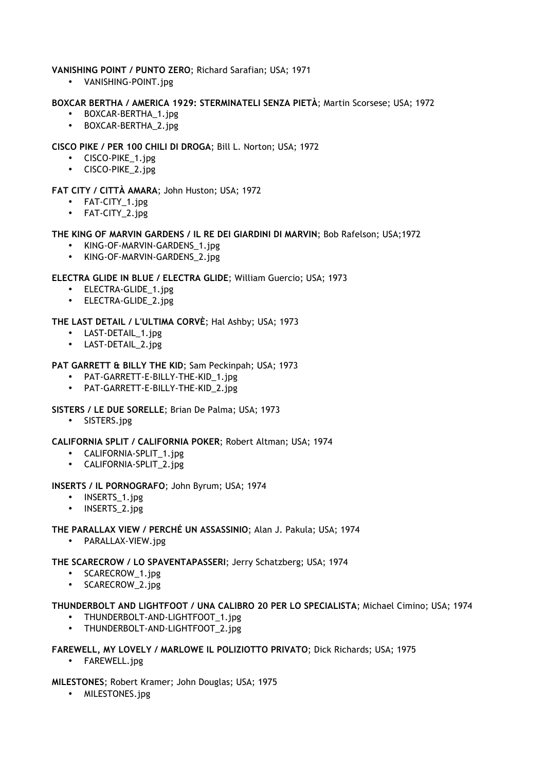## **VANISHING POINT / PUNTO ZERO**; Richard Sarafian; USA; 1971

• VANISHING-POINT.jpg

#### **BOXCAR BERTHA / AMERICA 1929: STERMINATELI SENZA PIETÀ**; Martin Scorsese; USA; 1972

- BOXCAR-BERTHA\_1.jpg
- BOXCAR-BERTHA\_2.jpg

## **CISCO PIKE / PER 100 CHILI DI DROGA**; Bill L. Norton; USA; 1972

- CISCO-PIKE\_1.jpg
- CISCO-PIKE\_2.jpg

## **FAT CITY / CITTÀ AMARA**; John Huston; USA; 1972

- FAT-CITY\_1.jpg
- FAT-CITY\_2.jpg

## **THE KING OF MARVIN GARDENS / IL RE DEI GIARDINI DI MARVIN**; Bob Rafelson; USA;1972

- KING-OF-MARVIN-GARDENS\_1.jpg
- KING-OF-MARVIN-GARDENS 2.jpg

## **ELECTRA GLIDE IN BLUE / ELECTRA GLIDE**; William Guercio; USA; 1973

- ELECTRA-GLIDE\_1.jpg
- ELECTRA-GLIDE\_2.jpg

## **THE LAST DETAIL / L'ULTIMA CORVÈ**; Hal Ashby; USA; 1973

- LAST-DETAIL\_1.jpg
- LAST-DETAIL\_2.jpg

## **PAT GARRETT & BILLY THE KID**; Sam Peckinpah; USA; 1973

- PAT-GARRETT-E-BILLY-THE-KID\_1.jpg
- PAT-GARRETT-E-BILLY-THE-KID\_2.jpg

## **SISTERS / LE DUE SORELLE**; Brian De Palma; USA; 1973

• SISTERS.jpg

## **CALIFORNIA SPLIT / CALIFORNIA POKER**; Robert Altman; USA; 1974

- CALIFORNIA-SPLIT\_1.jpg
- CALIFORNIA-SPLIT\_2.jpg

## **INSERTS / IL PORNOGRAFO**; John Byrum; USA; 1974

- INSERTS 1.jpg
- INSERTS\_2.jpg

## **THE PARALLAX VIEW / PERCHÉ UN ASSASSINIO**; Alan J. Pakula; USA; 1974

• PARALLAX-VIEW.jpg

## **THE SCARECROW / LO SPAVENTAPASSERI**; Jerry Schatzberg; USA; 1974

- SCARECROW 1.jpg
- SCARECROW\_2.jpg

## **THUNDERBOLT AND LIGHTFOOT / UNA CALIBRO 20 PER LO SPECIALISTA**; Michael Cimino; USA; 1974

- THUNDERBOLT-AND-LIGHTFOOT\_1.jpg
- THUNDERBOLT-AND-LIGHTFOOT 2.jpg

## **FAREWELL, MY LOVELY / MARLOWE IL POLIZIOTTO PRIVATO**; Dick Richards; USA; 1975

• FAREWELL.jpg

## **MILESTONES**; Robert Kramer; John Douglas; USA; 1975

• MILESTONES.jpg